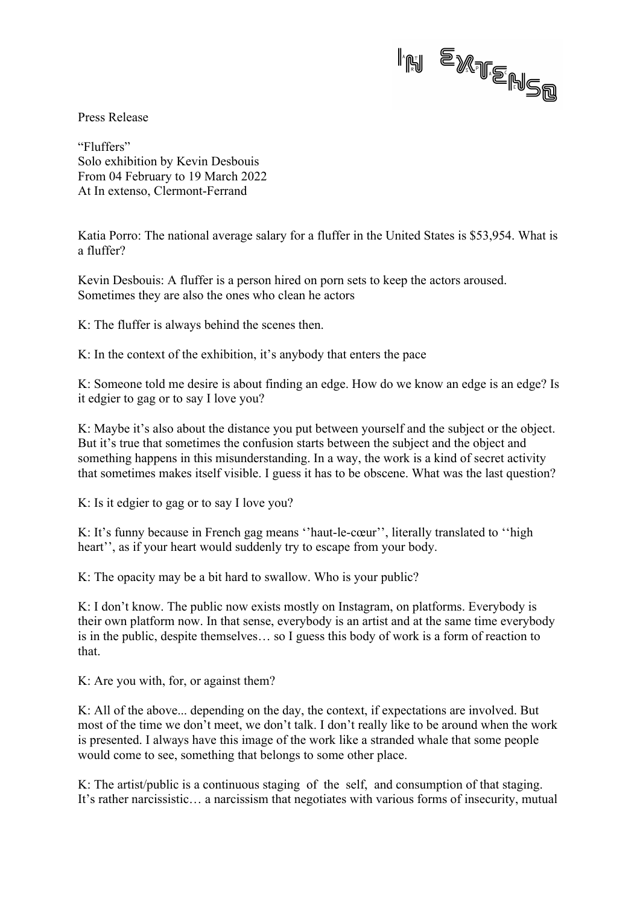

Press Release

"Fluffers" Solo exhibition by Kevin Desbouis From 04 February to 19 March 2022 At In extenso, Clermont-Ferrand

Katia Porro: The national average salary for a fluffer in the United States is \$53,954. What is a fluffer?

Kevin Desbouis: A fluffer is a person hired on porn sets to keep the actors aroused. Sometimes they are also the ones who clean he actors

K: The fluffer is always behind the scenes then.

K: In the context of the exhibition, it's anybody that enters the pace

K: Someone told me desire is about finding an edge. How do we know an edge is an edge? Is it edgier to gag or to say I love you?

K: Maybe it's also about the distance you put between yourself and the subject or the object. But it's true that sometimes the confusion starts between the subject and the object and something happens in this misunderstanding. In a way, the work is a kind of secret activity that sometimes makes itself visible. I guess it has to be obscene. What was the last question?

K: Is it edgier to gag or to say I love you?

K: It's funny because in French gag means ''haut-le-cœur'', literally translated to ''high heart'', as if your heart would suddenly try to escape from your body.

K: The opacity may be a bit hard to swallow. Who is your public?

K: I don't know. The public now exists mostly on Instagram, on platforms. Everybody is their own platform now. In that sense, everybody is an artist and at the same time everybody is in the public, despite themselves… so I guess this body of work is a form of reaction to that.

K: Are you with, for, or against them?

K: All of the above... depending on the day, the context, if expectations are involved. But most of the time we don't meet, we don't talk. I don't really like to be around when the work is presented. I always have this image of the work like a stranded whale that some people would come to see, something that belongs to some other place.

K: The artist/public is a continuous staging of the self, and consumption of that staging. It's rather narcissistic… a narcissism that negotiates with various forms of insecurity, mutual